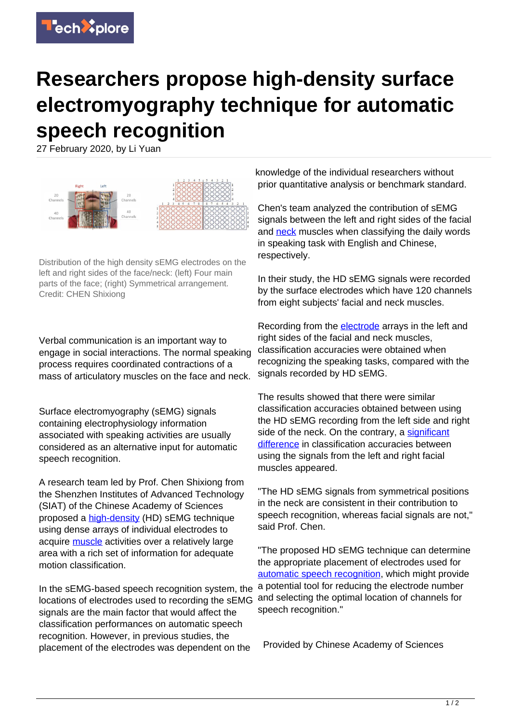

## **Researchers propose high-density surface electromyography technique for automatic speech recognition**

27 February 2020, by Li Yuan



Distribution of the high density sEMG electrodes on the left and right sides of the face/neck: (left) Four main parts of the face; (right) Symmetrical arrangement. Credit: CHEN Shixiong

Verbal communication is an important way to engage in social interactions. The normal speaking process requires coordinated contractions of a mass of articulatory muscles on the face and neck.

Surface electromyography (sEMG) signals containing electrophysiology information associated with speaking activities are usually considered as an alternative input for automatic speech recognition.

A research team led by Prof. Chen Shixiong from the Shenzhen Institutes of Advanced Technology (SIAT) of the Chinese Academy of Sciences proposed a [high-density](https://techxplore.com/tags/high-density/) (HD) sEMG technique using dense arrays of individual electrodes to acquire [muscle](https://techxplore.com/tags/muscle/) activities over a relatively large area with a rich set of information for adequate motion classification.

In the sEMG-based speech recognition system, the locations of electrodes used to recording the sEMG signals are the main factor that would affect the classification performances on automatic speech recognition. However, in previous studies, the placement of the electrodes was dependent on the

knowledge of the individual researchers without prior quantitative analysis or benchmark standard.

Chen's team analyzed the contribution of sEMG signals between the left and right sides of the facial and [neck](https://techxplore.com/tags/neck/) muscles when classifying the daily words in speaking task with English and Chinese, respectively.

In their study, the HD sEMG signals were recorded by the surface electrodes which have 120 channels from eight subjects' facial and neck muscles.

Recording from the **electrode** arrays in the left and right sides of the facial and neck muscles, classification accuracies were obtained when recognizing the speaking tasks, compared with the signals recorded by HD sEMG.

The results showed that there were similar classification accuracies obtained between using the HD sEMG recording from the left side and right side of the neck. On the contrary, a [significant](https://techxplore.com/tags/significant+difference/) [difference](https://techxplore.com/tags/significant+difference/) in classification accuracies between using the signals from the left and right facial muscles appeared.

"The HD sEMG signals from symmetrical positions in the neck are consistent in their contribution to speech recognition, whereas facial signals are not," said Prof. Chen.

"The proposed HD sEMG technique can determine the appropriate placement of electrodes used for [automatic speech recognition,](https://techxplore.com/tags/automatic+speech+recognition/) which might provide a potential tool for reducing the electrode number and selecting the optimal location of channels for speech recognition."

Provided by Chinese Academy of Sciences